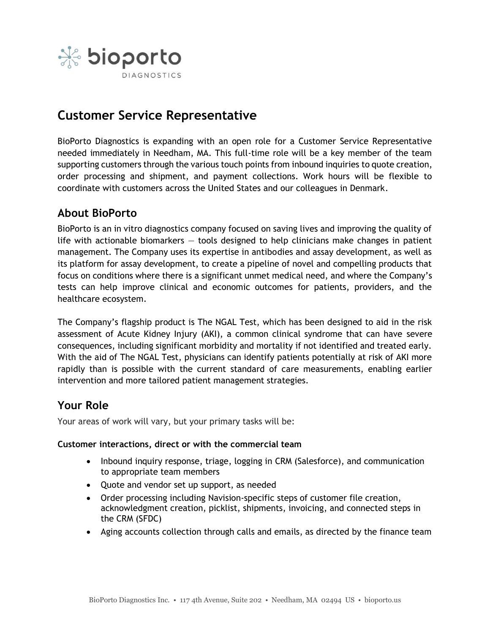

# **Customer Service Representative**

BioPorto Diagnostics is expanding with an open role for a Customer Service Representative needed immediately in Needham, MA. This full-time role will be a key member of the team supporting customers through the various touch points from inbound inquiries to quote creation, order processing and shipment, and payment collections. Work hours will be flexible to coordinate with customers across the United States and our colleagues in Denmark.

### **About BioPorto**

BioPorto is an in vitro diagnostics company focused on saving lives and improving the quality of life with actionable biomarkers — tools designed to help clinicians make changes in patient management. The Company uses its expertise in antibodies and assay development, as well as its platform for assay development, to create a pipeline of novel and compelling products that focus on conditions where there is a significant unmet medical need, and where the Company's tests can help improve clinical and economic outcomes for patients, providers, and the healthcare ecosystem.

The Company's flagship product is The NGAL Test, which has been designed to aid in the risk assessment of Acute Kidney Injury (AKI), a common clinical syndrome that can have severe consequences, including significant morbidity and mortality if not identified and treated early. With the aid of The NGAL Test, physicians can identify patients potentially at risk of AKI more rapidly than is possible with the current standard of care measurements, enabling earlier intervention and more tailored patient management strategies.

# **Your Role**

Your areas of work will vary, but your primary tasks will be:

#### **Customer interactions, direct or with the commercial team**

- Inbound inquiry response, triage, logging in CRM (Salesforce), and communication to appropriate team members
- Quote and vendor set up support, as needed
- Order processing including Navision-specific steps of customer file creation, acknowledgment creation, picklist, shipments, invoicing, and connected steps in the CRM (SFDC)
- Aging accounts collection through calls and emails, as directed by the finance team